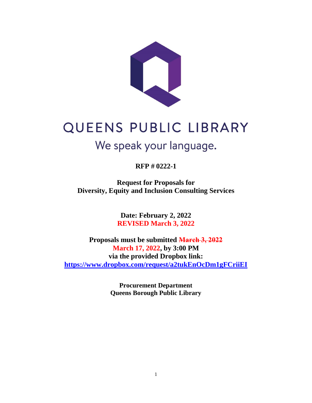

# QUEENS PUBLIC LIBRARY

# We speak your language.

**RFP # 0222-1**

**Request for Proposals for Diversity, Equity and Inclusion Consulting Services**

> **Date: February 2, 2022 REVISED March 3, 2022**

**Proposals must be submitted March 3, 2022 March 17, 2022, by 3:00 PM via the provided Dropbox link: <https://www.dropbox.com/request/a2tukEnOcDm1gFCriiEI>**

> **Procurement Department Queens Borough Public Library**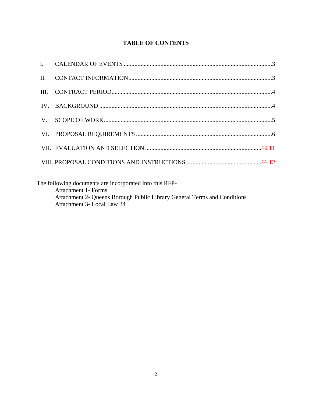# **TABLE OF CONTENTS**

The following documents are incorporated into this RFP-Attachment 1- Forms Attachment 2- Queens Borough Public Library General Terms and Conditions Attachment 3- Local Law 34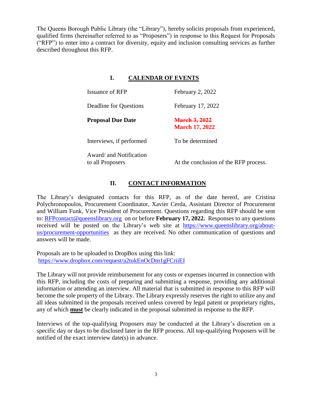The Queens Borough Public Library (the "Library"), hereby solicits proposals from experienced, qualified firms (hereinafter referred to as "Proposers") in response to this Request for Proposals ("RFP") to enter into a contract for diversity, equity and inclusion consulting services as further described throughout this RFP.

# **I. CALENDAR OF EVENTS**

| Issuance of RFP                             | February 2, 2022                              |
|---------------------------------------------|-----------------------------------------------|
| Deadline for Questions                      | February 17, 2022                             |
| <b>Proposal Due Date</b>                    | <b>March 3, 2022</b><br><b>March 17, 2022</b> |
| Interviews, if performed                    | To be determined                              |
| Award/ and Notification<br>to all Proposers | At the conclusion of the RFP process.         |

# **II. CONTACT INFORMATION**

The Library's designated contacts for this RFP, as of the date hereof, are Cristina Polychronopoulos, Procurement Coordinator, Xavier Cerda, Assistant Director of Procurement and William Funk, Vice President of Procurement. Questions regarding this RFP should be sent to: [RFPcontact@queenslibrary.org](mailto:RFPcontact@queenslibrary.org) on or before **February 17, 2022.** Responses to any questions received will be posted on the Library's web site at [https://www.queenslibrary.org/about](https://www.queenslibrary.org/about-us/procurement-opportunities)[us/procurement-opportunities](https://www.queenslibrary.org/about-us/procurement-opportunities) as they are received. No other communication of questions and answers will be made.

Proposals are to be uploaded to DropBox using this link: <https://www.dropbox.com/request/a2tukEnOcDm1gFCriiEI>

The Library will not provide reimbursement for any costs or expenses incurred in connection with this RFP, including the costs of preparing and submitting a response, providing any additional information or attending an interview. All material that is submitted in response to this RFP will become the sole property of the Library. The Library expressly reserves the right to utilize any and all ideas submitted in the proposals received unless covered by legal patent or proprietary rights, any of which **must** be clearly indicated in the proposal submitted in response to the RFP.

Interviews of the top-qualifying Proposers may be conducted at the Library's discretion on a specific day or days to be disclosed later in the RFP process. All top-qualifying Proposers will be notified of the exact interview date(s) in advance.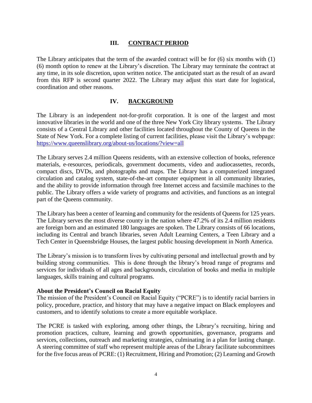#### **III. CONTRACT PERIOD**

The Library anticipates that the term of the awarded contract will be for (6) six months with (1) (6) month option to renew at the Library's discretion. The Library may terminate the contract at any time, in its sole discretion, upon written notice. The anticipated start as the result of an award from this RFP is second quarter 2022. The Library may adjust this start date for logistical, coordination and other reasons.

#### **IV. BACKGROUND**

The Library is an independent not-for-profit corporation. It is one of the largest and most innovative libraries in the world and one of the three New York City library systems. The Library consists of a Central Library and other facilities located throughout the County of Queens in the State of New York. For a complete listing of current facilities, please visit the Library's webpage: <https://www.queenslibrary.org/about-us/locations/?view=all>

The Library serves 2.4 million Queens residents, with an extensive collection of books, reference materials, e-resources, periodicals, government documents, video and audiocassettes, records, compact discs, DVDs, and photographs and maps. The Library has a computerized integrated circulation and catalog system, state-of-the-art computer equipment in all community libraries, and the ability to provide information through free Internet access and facsimile machines to the public. The Library offers a wide variety of programs and activities, and functions as an integral part of the Queens community.

The Library has been a center of learning and community for the residents of Queens for 125 years. The Library serves the most diverse county in the nation where 47.2% of its 2.4 million residents are foreign born and an estimated 180 languages are spoken. The Library consists of 66 locations, including its Central and branch libraries, seven Adult Learning Centers, a Teen Library and a Tech Center in Queensbridge Houses, the largest public housing development in North America.

The Library's mission is to transform lives by cultivating personal and intellectual growth and by building strong communities. This is done through the library's broad range of programs and services for individuals of all ages and backgrounds, circulation of books and media in multiple languages, skills training and cultural programs.

#### **About the President's Council on Racial Equity**

The mission of the President's Council on Racial Equity ("PCRE") is to identify racial barriers in policy, procedure, practice, and history that may have a negative impact on Black employees and customers, and to identify solutions to create a more equitable workplace.

The PCRE is tasked with exploring, among other things, the Library's recruiting, hiring and promotion practices, culture, learning and growth opportunities, governance, programs and services, collections, outreach and marketing strategies, culminating in a plan for lasting change. A steering committee of staff who represent multiple areas of the Library facilitate subcommittees for the five focus areas of PCRE: (1) Recruitment, Hiring and Promotion; (2) Learning and Growth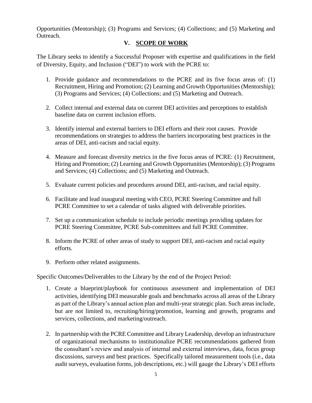Opportunities (Mentorship); (3) Programs and Services; (4) Collections; and (5) Marketing and Outreach.

# **V. SCOPE OF WORK**

The Library seeks to identify a Successful Proposer with expertise and qualifications in the field of Diversity, Equity, and Inclusion ("DEI") to work with the PCRE to:

- 1. Provide guidance and recommendations to the PCRE and its five focus areas of: (1) Recruitment, Hiring and Promotion; (2) Learning and Growth Opportunities (Mentorship); (3) Programs and Services; (4) Collections; and (5) Marketing and Outreach.
- 2. Collect internal and external data on current DEI activities and perceptions to establish baseline data on current inclusion efforts.
- 3. Identify internal and external barriers to DEI efforts and their root causes. Provide recommendations on strategies to address the barriers incorporating best practices in the areas of DEI, anti-racism and racial equity.
- 4. Measure and forecast diversity metrics in the five focus areas of PCRE: (1) Recruitment, Hiring and Promotion; (2) Learning and Growth Opportunities (Mentorship); (3) Programs and Services; (4) Collections; and (5) Marketing and Outreach.
- 5. Evaluate current policies and procedures around DEI, anti-racism, and racial equity.
- 6. Facilitate and lead inaugural meeting with CEO, PCRE Steering Committee and full PCRE Committee to set a calendar of tasks aligned with deliverable priorities.
- 7. Set up a communication schedule to include periodic meetings providing updates for PCRE Steering Committee, PCRE Sub-committees and full PCRE Committee.
- 8. Inform the PCRE of other areas of study to support DEI, anti-racism and racial equity efforts.
- 9. Perform other related assignments.

Specific Outcomes/Deliverables to the Library by the end of the Project Period:

- 1. Create a blueprint/playbook for continuous assessment and implementation of DEI activities, identifying DEI measurable goals and benchmarks across all areas of the Library as part of the Library's annual action plan and multi-year strategic plan. Such areas include, but are not limited to, recruiting/hiring/promotion, learning and growth, programs and services, collections, and marketing/outreach.
- 2. In partnership with the PCRE Committee and Library Leadership, develop an infrastructure of organizational mechanisms to institutionalize PCRE recommendations gathered from the consultant's review and analysis of internal and external interviews, data, focus group discussions, surveys and best practices. Specifically tailored measurement tools (i.e., data audit surveys, evaluation forms, job descriptions, etc.) will gauge the Library's DEI efforts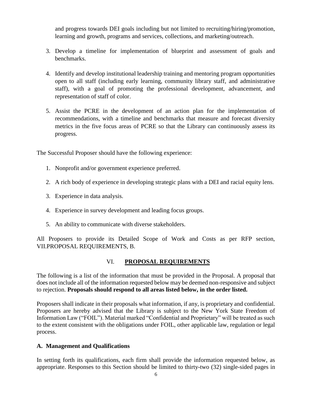and progress towards DEI goals including but not limited to recruiting/hiring/promotion, learning and growth, programs and services, collections, and marketing/outreach.

- 3. Develop a timeline for implementation of blueprint and assessment of goals and benchmarks.
- 4. Identify and develop institutional leadership training and mentoring program opportunities open to all staff (including early learning, community library staff, and administrative staff), with a goal of promoting the professional development, advancement, and representation of staff of color.
- 5. Assist the PCRE in the development of an action plan for the implementation of recommendations, with a timeline and benchmarks that measure and forecast diversity metrics in the five focus areas of PCRE so that the Library can continuously assess its progress.

The Successful Proposer should have the following experience:

- 1. Nonprofit and/or government experience preferred.
- 2. A rich body of experience in developing strategic plans with a DEI and racial equity lens.
- 3. Experience in data analysis.
- 4. Experience in survey development and leading focus groups.
- 5. An ability to communicate with diverse stakeholders.

All Proposers to provide its Detailed Scope of Work and Costs as per RFP section, VII.PROPOSAL REQUIREMENTS, B.

#### VI. **PROPOSAL REQUIREMENTS**

The following is a list of the information that must be provided in the Proposal. A proposal that does not include all of the information requested below may be deemed non-responsive and subject to rejection. **Proposals should respond to all areas listed below, in the order listed.**

Proposers shall indicate in their proposals what information, if any, is proprietary and confidential. Proposers are hereby advised that the Library is subject to the New York State Freedom of Information Law ("FOIL"). Material marked "Confidential and Proprietary" will be treated as such to the extent consistent with the obligations under FOIL, other applicable law, regulation or legal process.

#### **A. Management and Qualifications**

In setting forth its qualifications, each firm shall provide the information requested below, as appropriate. Responses to this Section should be limited to thirty-two (32) single-sided pages in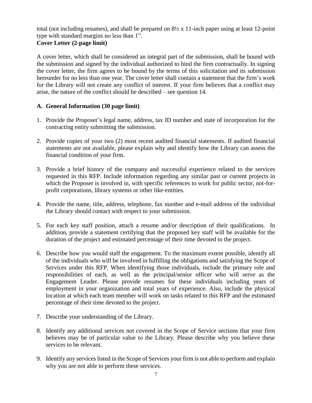total (not including resumes), and shall be prepared on  $8\frac{1}{2} \times 11$ -inch paper using at least 12-point type with standard margins no less than 1".

# **Cover Letter (2-page limit)**

A cover letter, which shall be considered an integral part of the submission, shall be bound with the submission and signed by the individual authorized to bind the firm contractually. In signing the cover letter, the firm agrees to be bound by the terms of this solicitation and its submission hereunder for no less than one year. The cover letter shall contain a statement that the firm's work for the Library will not create any conflict of interest. If your firm believes that a conflict may arise, the nature of the conflict should be described – see question 14.

# **A. General Information (30 page limit)**

- 1. Provide the Proposer's legal name, address, tax ID number and state of incorporation for the contracting entity submitting the submission.
- 2. Provide copies of your two (2) most recent audited financial statements. If audited financial statements are not available, please explain why and identify how the Library can assess the financial condition of your firm.
- 3. Provide a brief history of the company and successful experience related to the services requested in this RFP. Include information regarding any similar past or current projects in which the Proposer is involved in, with specific references to work for public sector, not-forprofit corporations, library systems or other like-entities.
- 4. Provide the name, title, address, telephone, fax number and e-mail address of the individual the Library should contact with respect to your submission.
- 5. For each key staff position, attach a resume and/or description of their qualifications. In addition, provide a statement certifying that the proposed key staff will be available for the duration of the project and estimated percentage of their time devoted to the project.
- 6. Describe how you would staff the engagement. To the maximum extent possible, identify all of the individuals who will be involved in fulfilling the obligations and satisfying the Scope of Services under this RFP. When identifying those individuals, include the primary role and responsibilities of each, as well as the principal/senior officer who will serve as the Engagement Leader. Please provide resumes for these individuals including years of employment in your organization and total years of experience. Also, include the physical location at which each team member will work on tasks related to this RFP and the estimated percentage of their time devoted to the project.
- 7. Describe your understanding of the Library.
- 8. Identify any additional services not covered in the Scope of Service sections that your firm believes may be of particular value to the Library. Please describe why you believe these services to be relevant.
- 9. Identify any services listed in the Scope of Services your firm is not able to perform and explain why you are not able to perform these services.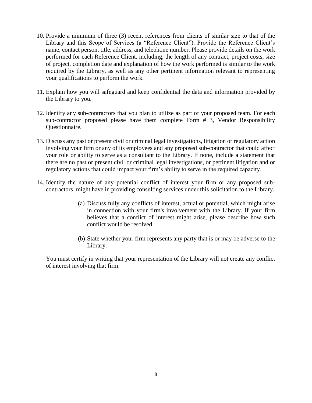- 10. Provide a minimum of three (3) recent references from clients of similar size to that of the Library and this Scope of Services (a "Reference Client"). Provide the Reference Client's name, contact person, title, address, and telephone number. Please provide details on the work performed for each Reference Client, including, the length of any contract, project costs, size of project, completion date and explanation of how the work performed is similar to the work required by the Library, as well as any other pertinent information relevant to representing your qualifications to perform the work.
- 11. Explain how you will safeguard and keep confidential the data and information provided by the Library to you.
- 12. Identify any sub-contractors that you plan to utilize as part of your proposed team. For each sub-contractor proposed please have them complete Form # 3, Vendor Responsibility Questionnaire.
- 13. Discuss any past or present civil or criminal legal investigations, litigation or regulatory action involving your firm or any of its employees and any proposed sub-contractor that could affect your role or ability to serve as a consultant to the Library. If none, include a statement that there are no past or present civil or criminal legal investigations, or pertinent litigation and or regulatory actions that could impact your firm's ability to serve in the required capacity.
- 14. Identify the nature of any potential conflict of interest your firm or any proposed subcontractors might have in providing consulting services under this solicitation to the Library.
	- (a) Discuss fully any conflicts of interest, actual or potential, which might arise in connection with your firm's involvement with the Library. If your firm believes that a conflict of interest might arise, please describe how such conflict would be resolved.
	- (b) State whether your firm represents any party that is or may be adverse to the Library.

You must certify in writing that your representation of the Library will not create any conflict of interest involving that firm.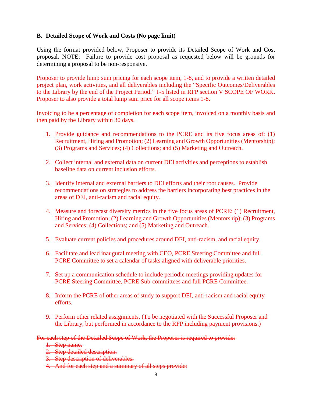#### **B. Detailed Scope of Work and Costs (No page limit)**

Using the format provided below, Proposer to provide its Detailed Scope of Work and Cost proposal. NOTE: Failure to provide cost proposal as requested below will be grounds for determining a proposal to be non-responsive.

Proposer to provide lump sum pricing for each scope item, 1-8, and to provide a written detailed project plan, work activities, and all deliverables including the "Specific Outcomes/Deliverables to the Library by the end of the Project Period," 1-5 listed in RFP section V SCOPE OF WORK. Proposer to also provide a total lump sum price for all scope items 1-8.

Invoicing to be a percentage of completion for each scope item, invoiced on a monthly basis and then paid by the Library within 30 days.

- 1. Provide guidance and recommendations to the PCRE and its five focus areas of: (1) Recruitment, Hiring and Promotion; (2) Learning and Growth Opportunities (Mentorship); (3) Programs and Services; (4) Collections; and (5) Marketing and Outreach.
- 2. Collect internal and external data on current DEI activities and perceptions to establish baseline data on current inclusion efforts.
- 3. Identify internal and external barriers to DEI efforts and their root causes. Provide recommendations on strategies to address the barriers incorporating best practices in the areas of DEI, anti-racism and racial equity.
- 4. Measure and forecast diversity metrics in the five focus areas of PCRE: (1) Recruitment, Hiring and Promotion; (2) Learning and Growth Opportunities (Mentorship); (3) Programs and Services; (4) Collections; and (5) Marketing and Outreach.
- 5. Evaluate current policies and procedures around DEI, anti-racism, and racial equity.
- 6. Facilitate and lead inaugural meeting with CEO, PCRE Steering Committee and full PCRE Committee to set a calendar of tasks aligned with deliverable priorities.
- 7. Set up a communication schedule to include periodic meetings providing updates for PCRE Steering Committee, PCRE Sub-committees and full PCRE Committee.
- 8. Inform the PCRE of other areas of study to support DEI, anti-racism and racial equity efforts.
- 9. Perform other related assignments. (To be negotiated with the Successful Proposer and the Library, but performed in accordance to the RFP including payment provisions.)

For each step of the Detailed Scope of Work, the Proposer is required to provide:

- 1. Step name.
- 2. Step detailed description.
- 3. Step description of deliverables.
- 4. And for each step and a summary of all steps provide: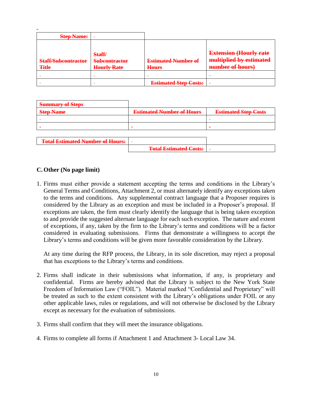| <b>Step Name:</b>          |                                |                              |                                                          |
|----------------------------|--------------------------------|------------------------------|----------------------------------------------------------|
| <b>Staff/Subcontractor</b> | Staff/<br><b>Subcontractor</b> | <b>Estimated Number of</b>   | <b>Extension (Hourly rate</b><br>multiplied by estimated |
| <b>Title</b>               | <b>Hourly Rate</b>             | <b>Hours</b>                 | number of hours)                                         |
|                            |                                | $\overline{\phantom{0}}$     |                                                          |
|                            |                                | <b>Estimated Step Costs:</b> |                                                          |

| <b>Summary of Steps</b>                 |                                  |                             |
|-----------------------------------------|----------------------------------|-----------------------------|
| <b>Step Name</b>                        | <b>Estimated Number of Hours</b> | <b>Estimated Step Costs</b> |
|                                         |                                  |                             |
|                                         |                                  | -                           |
|                                         |                                  |                             |
| <b>Total Estimated Number of Hours:</b> |                                  |                             |

**Total Estimated Costs:**

#### **C. Other (No page limit)**

1. Firms must either provide a statement accepting the terms and conditions in the Library's General Terms and Conditions, Attachment 2, or must alternately identify any exceptions taken to the terms and conditions. Any supplemental contract language that a Proposer requires is considered by the Library as an exception and must be included in a Proposer's proposal. If exceptions are taken, the firm must clearly identify the language that is being taken exception to and provide the suggested alternate language for each such exception. The nature and extent of exceptions, if any, taken by the firm to the Library's terms and conditions will be a factor considered in evaluating submissions. Firms that demonstrate a willingness to accept the Library's terms and conditions will be given more favorable consideration by the Library.

At any time during the RFP process, the Library, in its sole discretion, may reject a proposal that has exceptions to the Library's terms and conditions.

- 2. Firms shall indicate in their submissions what information, if any, is proprietary and confidential. Firms are hereby advised that the Library is subject to the New York State Freedom of Information Law ("FOIL"). Material marked "Confidential and Proprietary" will be treated as such to the extent consistent with the Library's obligations under FOIL or any other applicable laws, rules or regulations, and will not otherwise be disclosed by the Library except as necessary for the evaluation of submissions.
- 3. Firms shall confirm that they will meet the insurance obligations.
- 4. Firms to complete all forms if Attachment 1 and Attachment 3- Local Law 34.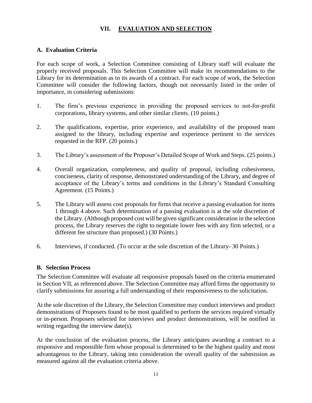## **VII. EVALUATION AND SELECTION**

#### **A. Evaluation Criteria**

For each scope of work, a Selection Committee consisting of Library staff will evaluate the properly received proposals. This Selection Committee will make its recommendations to the Library for its determination as to its awards of a contract. For each scope of work, the Selection Committee will consider the following factors, though not necessarily listed in the order of importance, in considering submissions:

- 1. The firm's previous experience in providing the proposed services to not-for-profit corporations, library systems, and other similar clients. (10 points.)
- 2. The qualifications, expertise, prior experience, and availability of the proposed team assigned to the library, including expertise and experience pertinent to the services requested in the RFP. (20 points.)
- 3. The Library's assessment of the Proposer's Detailed Scope of Work and Steps. (25 points.)
- 4. Overall organization, completeness, and quality of proposal, including cohesiveness, conciseness, clarity of response, demonstrated understanding of the Library, and degree of acceptance of the Library's terms and conditions in the Library's Standard Consulting Agreement. (15 Points.)
- 5. The Library will assess cost proposals for firms that receive a passing evaluation for items 1 through 4 above. Such determination of a passing evaluation is at the sole discretion of the Library. (Although proposed cost will be given significant consideration in the selection process, the Library reserves the right to negotiate lower fees with any firm selected, or a different fee structure than proposed.) (30 Points.)
- 6. Interviews, if conducted. (To occur at the sole discretion of the Library- 30 Points.)

#### **B. Selection Process**

The Selection Committee will evaluate all responsive proposals based on the criteria enumerated in Section VII, as referenced above. The Selection Committee may afford firms the opportunity to clarify submissions for assuring a full understanding of their responsiveness to the solicitation.

At the sole discretion of the Library, the Selection Committee may conduct interviews and product demonstrations of Proposers found to be most qualified to perform the services required virtually or in-person. Proposers selected for interviews and product demonstrations, will be notified in writing regarding the interview date(s).

At the conclusion of the evaluation process, the Library anticipates awarding a contract to a responsive and responsible firm whose proposal is determined to be the highest quality and most advantageous to the Library, taking into consideration the overall quality of the submission as measured against all the evaluation criteria above.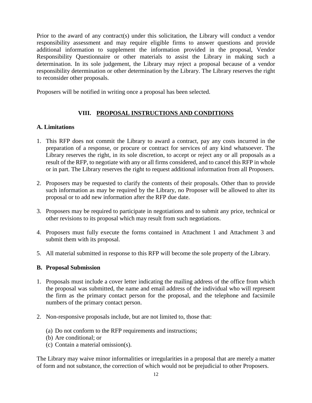Prior to the award of any contract(s) under this solicitation, the Library will conduct a vendor responsibility assessment and may require eligible firms to answer questions and provide additional information to supplement the information provided in the proposal, Vendor Responsibility Questionnaire or other materials to assist the Library in making such a determination. In its sole judgement, the Library may reject a proposal because of a vendor responsibility determination or other determination by the Library. The Library reserves the right to reconsider other proposals.

Proposers will be notified in writing once a proposal has been selected.

# **VIII. PROPOSAL INSTRUCTIONS AND CONDITIONS**

#### **A. Limitations**

- 1. This RFP does not commit the Library to award a contract, pay any costs incurred in the preparation of a response, or procure or contract for services of any kind whatsoever. The Library reserves the right, in its sole discretion, to accept or reject any or all proposals as a result of the RFP, to negotiate with any or all firms considered, and to cancel this RFP in whole or in part. The Library reserves the right to request additional information from all Proposers.
- 2. Proposers may be requested to clarify the contents of their proposals. Other than to provide such information as may be required by the Library, no Proposer will be allowed to alter its proposal or to add new information after the RFP due date.
- 3. Proposers may be required to participate in negotiations and to submit any price, technical or other revisions to its proposal which may result from such negotiations.
- 4. Proposers must fully execute the forms contained in Attachment 1 and Attachment 3 and submit them with its proposal.
- 5. All material submitted in response to this RFP will become the sole property of the Library.

#### **B. Proposal Submission**

- 1. Proposals must include a cover letter indicating the mailing address of the office from which the proposal was submitted, the name and email address of the individual who will represent the firm as the primary contact person for the proposal, and the telephone and facsimile numbers of the primary contact person.
- 2. Non-responsive proposals include, but are not limited to, those that:
	- (a) Do not conform to the RFP requirements and instructions;
	- (b) Are conditional; or
	- (c) Contain a material omission(s).

The Library may waive minor informalities or irregularities in a proposal that are merely a matter of form and not substance, the correction of which would not be prejudicial to other Proposers.